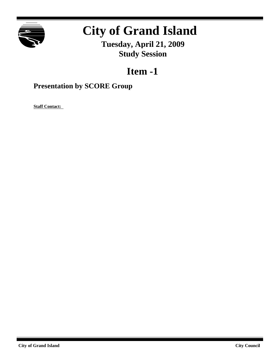

## **City of Grand Island**

**Tuesday, April 21, 2009 Study Session**

## **Item -1**

## **Presentation by SCORE Group**

**Staff Contact:**